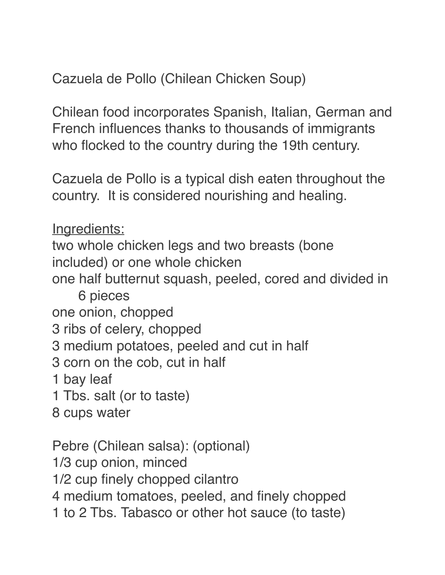Cazuela de Pollo (Chilean Chicken Soup)

Chilean food incorporates Spanish, Italian, German and French influences thanks to thousands of immigrants who flocked to the country during the 19th century.

Cazuela de Pollo is a typical dish eaten throughout the country. It is considered nourishing and healing.

Ingredients:

two whole chicken legs and two breasts (bone included) or one whole chicken

one half butternut squash, peeled, cored and divided in 6 pieces

one onion, chopped

3 ribs of celery, chopped

3 medium potatoes, peeled and cut in half

3 corn on the cob, cut in half

1 bay leaf

1 Tbs. salt (or to taste)

8 cups water

Pebre (Chilean salsa): (optional)

1/3 cup onion, minced

1/2 cup finely chopped cilantro

4 medium tomatoes, peeled, and finely chopped

1 to 2 Tbs. Tabasco or other hot sauce (to taste)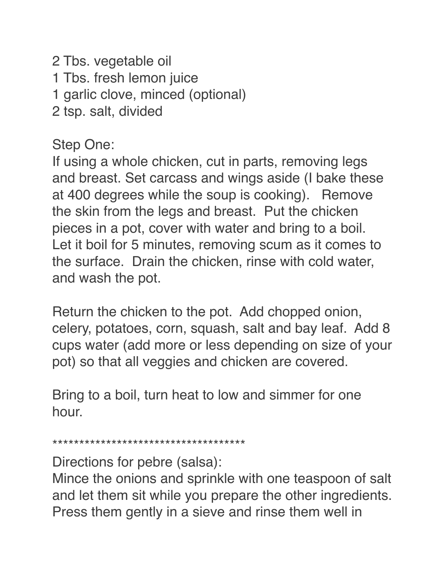2 Tbs. vegetable oil 1 Tbs. fresh lemon juice 1 garlic clove, minced (optional) 2 tsp. salt, divided

Step One:

If using a whole chicken, cut in parts, removing legs and breast. Set carcass and wings aside (I bake these at 400 degrees while the soup is cooking). Remove the skin from the legs and breast. Put the chicken pieces in a pot, cover with water and bring to a boil. Let it boil for 5 minutes, removing scum as it comes to the surface. Drain the chicken, rinse with cold water, and wash the pot.

Return the chicken to the pot. Add chopped onion, celery, potatoes, corn, squash, salt and bay leaf. Add 8 cups water (add more or less depending on size of your pot) so that all veggies and chicken are covered.

Bring to a boil, turn heat to low and simmer for one hour.

\*\*\*\*\*\*\*\*\*\*\*\*\*\*\*\*\*\*\*\*\*\*\*\*\*\*\*\*\*\*\*\*\*\*\*\*

Directions for pebre (salsa):

Mince the onions and sprinkle with one teaspoon of salt and let them sit while you prepare the other ingredients. Press them gently in a sieve and rinse them well in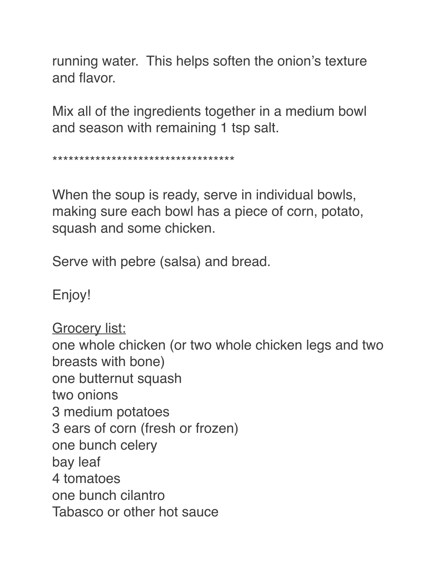running water. This helps soften the onion's texture and flavor.

Mix all of the ingredients together in a medium bowl and season with remaining 1 tsp salt.

\*\*\*\*\*\*\*\*\*\*\*\*\*\*\*\*\*\*\*\*\*\*\*\*\*\*\*\*\*\*\*\*\*\*

When the soup is ready, serve in individual bowls, making sure each bowl has a piece of corn, potato, squash and some chicken.

Serve with pebre (salsa) and bread.

Enjoy!

Grocery list: one whole chicken (or two whole chicken legs and two breasts with bone) one butternut squash two onions 3 medium potatoes 3 ears of corn (fresh or frozen) one bunch celery bay leaf 4 tomatoes one bunch cilantro Tabasco or other hot sauce